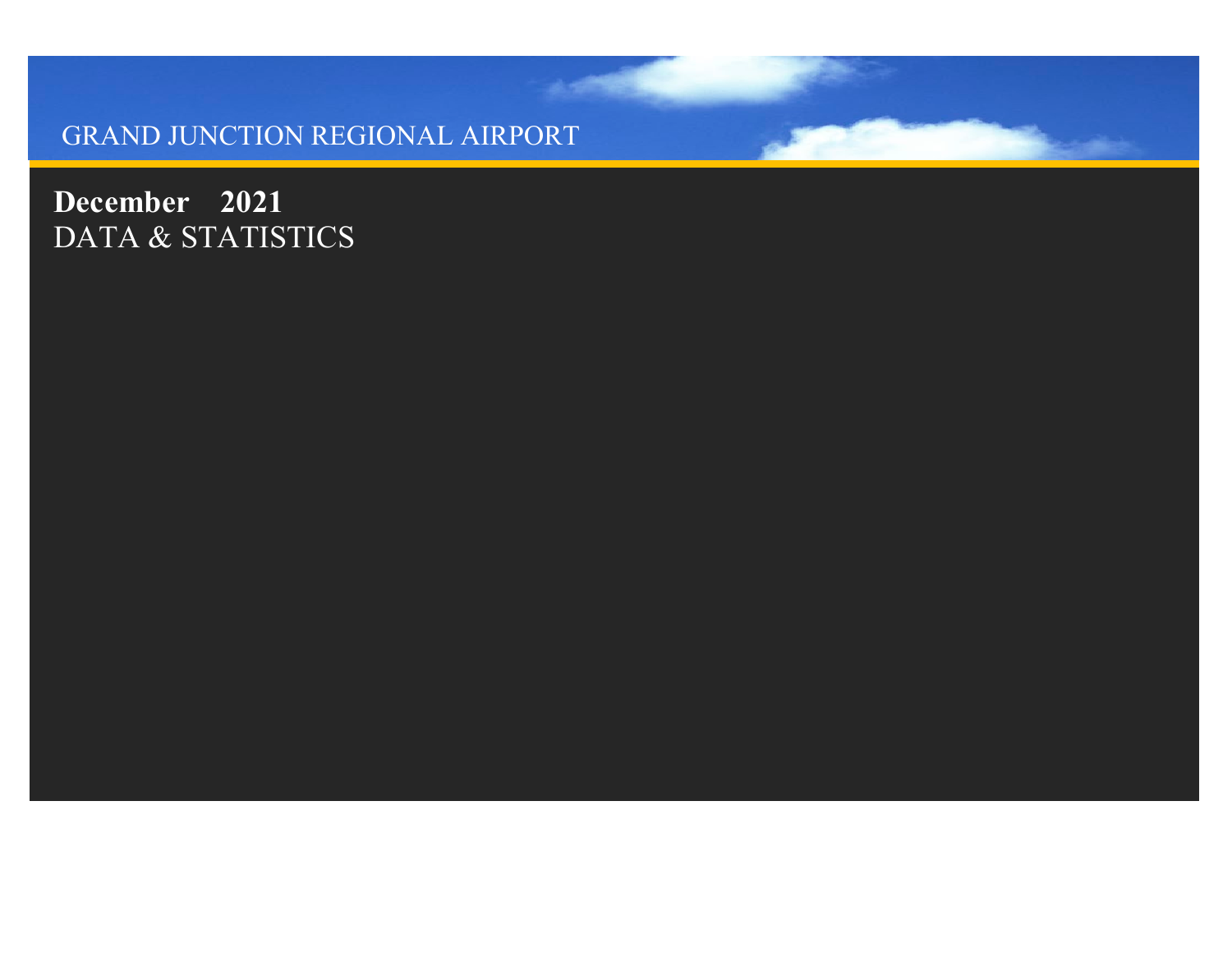#### GRAND JUNCTION REGIONAL AIRPORT

**December 2021** DATA & STATISTICS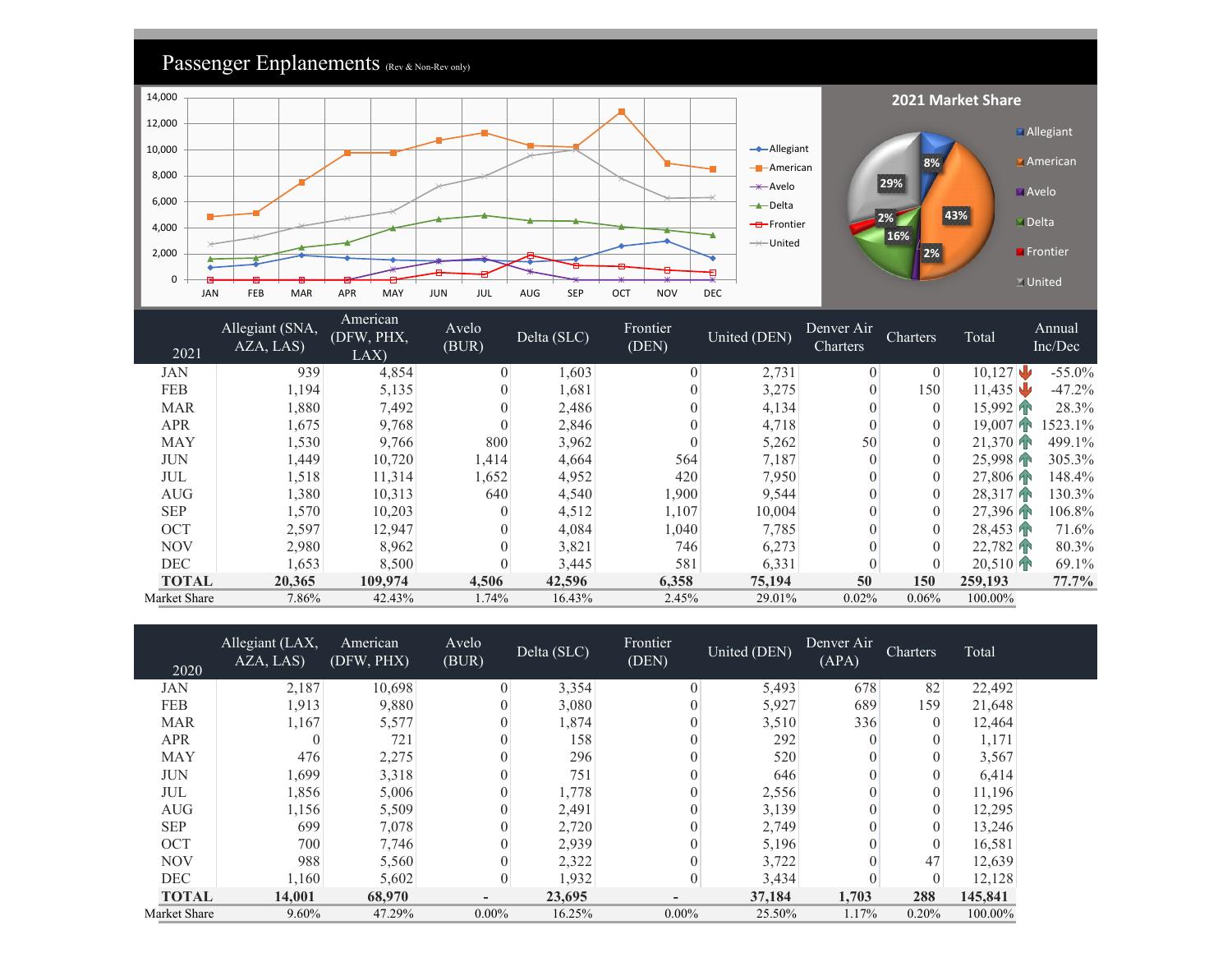

| 2021         | Allegiant (SNA,<br>AZA, LAS) | American<br>(DFW, PHX,<br>LAX | Avelo<br>(BUR) | Delta (SLC) | Frontier<br>(DEN) | United (DEN) | Denver Air<br>Charters | Charters       | Total     | Annual<br>Inc/Dec |
|--------------|------------------------------|-------------------------------|----------------|-------------|-------------------|--------------|------------------------|----------------|-----------|-------------------|
| JAN          | 939                          | 4,854                         | $\theta$       | 1,603       | $\Omega$          | 2,731        | $\theta$               | $\theta$       | 10,127    | $-55.0\%$         |
| <b>FEB</b>   | 1,194                        | 5,135                         | $\overline{0}$ | 1,681       |                   | 3,275        |                        | 150            | 11,435    | $-47.2\%$         |
| <b>MAR</b>   | 1,880                        | 7,492                         | $\theta$       | 2,486       |                   | 4,134        |                        | $\overline{0}$ | 15,992    | 28.3%             |
| <b>APR</b>   | 1,675                        | 9,768                         | $\overline{0}$ | 2,846       |                   | 4,718        |                        | $\overline{0}$ | 19.007    | 523.1%            |
| <b>MAY</b>   | 1,530                        | 9,766                         | 800            | 3,962       |                   | 5,262        | 50                     |                | 21.370    | 499.1%            |
| JUN          | 1,449                        | 10,720                        | 1,414          | 4,664       | 564               | 7,187        |                        |                | 25,998    | 305.3%            |
| JUL          | 1,518                        | 11,314                        | 1,652          | 4,952       | 420               | 7,950        |                        | $\overline{0}$ | 27,806    | 148.4%            |
| <b>AUG</b>   | 1,380                        | 10,313                        | 640            | 4,540       | 1,900             | 9,544        |                        | $\theta$       | 28,317    | 130.3%            |
| <b>SEP</b>   | 1,570                        | 10,203                        | $\theta$       | 4,512       | 1,107             | 10,004       |                        | $\overline{0}$ | 27.396 PM | 106.8%            |
| <b>OCT</b>   | 2,597                        | 12,947                        | $\theta$       | 4,084       | 1,040             | 7,785        |                        | $\theta$       | 28,453    | 71.6%             |
| <b>NOV</b>   | 2,980                        | 8,962                         | $\overline{0}$ | 3,821       | 746               | 6,273        |                        |                | 22.782    | 80.3%             |
| <b>DEC</b>   | 1,653                        | 8,500                         | $\overline{0}$ | 3,445       | 581               | 6,331        |                        |                | 20,510    | 69.1%             |
| <b>TOTAL</b> | 20,365                       | 109,974                       | 4,506          | 42,596      | 6,358             | 75,194       | 50                     | 150            | 259,193   | $77.7\%$          |
| Market Share | 7.86%                        | 42.43%                        | 1.74%          | 16.43%      | 2.45%             | 29.01%       | 0.02%                  | $0.06\%$       | 100.00%   |                   |

| 2020         | Allegiant (LAX,<br>AZA, LAS) | American<br>(DFW, PHX) | Avelo<br>(BUR)           | Delta (SLC) | Frontier<br>(DEN) | United (DEN) | Denver Air<br>(APA) | <b>Charters</b> | Total   |
|--------------|------------------------------|------------------------|--------------------------|-------------|-------------------|--------------|---------------------|-----------------|---------|
| JAN          | 2,187                        | 10,698                 | $\theta$                 | 3,354       | $\theta$          | 5,493        | 678                 | 82              | 22,492  |
| <b>FEB</b>   | 1,913                        | 9,880                  |                          | 3,080       |                   | 5,927        | 689                 | 159             | 21,648  |
| <b>MAR</b>   | 1,167                        | 5,577                  |                          | 1,874       |                   | 3,510        | 336                 | $\theta$        | 12,464  |
| <b>APR</b>   | $\theta$                     | 721                    | 0                        | 158         |                   | 292          |                     |                 | 1,171   |
| <b>MAY</b>   | 476                          | 2,275                  |                          | 296         |                   | 520          |                     |                 | 3,567   |
| <b>JUN</b>   | 1,699                        | 3,318                  | 0                        | 751         |                   | 646          |                     |                 | 6,414   |
| JUL          | 1,856                        | 5,006                  | 0                        | 1,778       |                   | 2,556        |                     |                 | 11,196  |
| <b>AUG</b>   | 1,156                        | 5,509                  | 0                        | 2,491       |                   | 3,139        |                     |                 | 12,295  |
| <b>SEP</b>   | 699                          | 7,078                  |                          | 2,720       |                   | 2,749        |                     | 0               | 13,246  |
| <b>OCT</b>   | 700                          | 7,746                  |                          | 2,939       |                   | 5,196        |                     |                 | 16,581  |
| <b>NOV</b>   | 988                          | 5,560                  |                          | 2,322       |                   | 3,722        |                     | 47              | 12,639  |
| <b>DEC</b>   | 1,160                        | 5,602                  | 0                        | 1,932       | $\overline{0}$    | 3,434        |                     |                 | 12,128  |
| <b>TOTAL</b> | 14,001                       | 68,970                 | $\overline{\phantom{a}}$ | 23,695      |                   | 37,184       | 1,703               | 288             | 145,841 |
| Market Share | 9.60%                        | 47.29%                 | $0.00\%$                 | 16.25%      | $0.00\%$          | 25.50%       | 1.17%               | 0.20%           | 100.00% |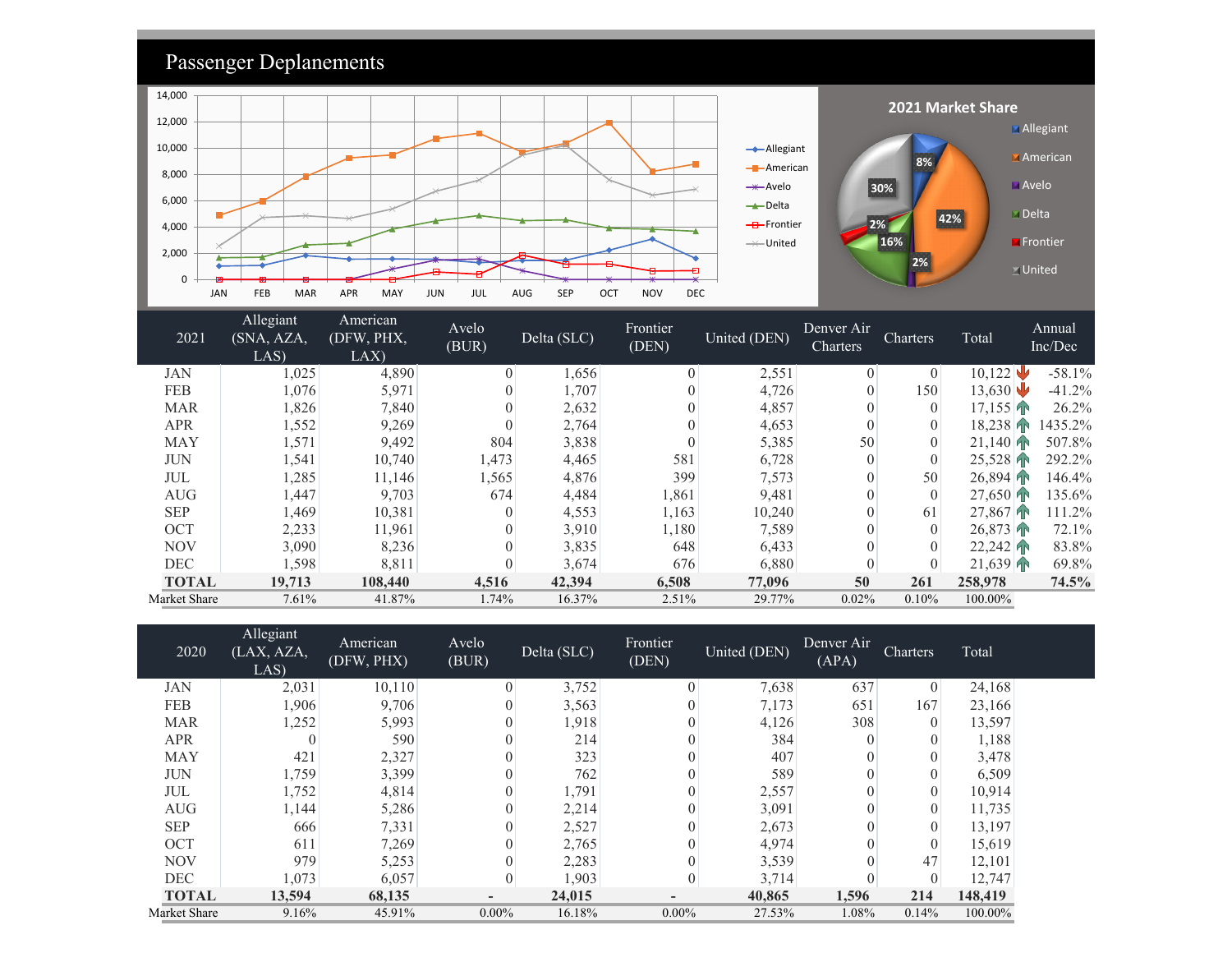

| Market Share | 7.61%    | 41.87%  | .74%     | 16.37% | 2.51%             | 29.77% | 0.02%       | 0.10%       | 100.00%    |               |
|--------------|----------|---------|----------|--------|-------------------|--------|-------------|-------------|------------|---------------|
| <b>TOTAL</b> | 19,713   | 108,440 | 4,516    | 42,394 | 6,508             | 77,096 | 50          | 261         | 258,978    | 74.5%         |
| DEC          | .598     | 8,811   |          | 3,674  | 676               | 6,880  |             |             | 21,639     | 69.8%         |
| NOV          | 3,090    | 8,236   |          | 3,835  | 648               | 6,433  |             |             | 22.242     | 83.8%         |
| OCT          | 2,233    | 1,961   |          | 3,910  | $1,180^{\dagger}$ | 7,589  |             |             | $26.873$ T | 72.1%         |
| <b>SEP</b>   | .469     | 10,381  |          | 4,553  | 1,163             | 10,240 |             | 61          | 27,867     | 11.2%         |
| AUG          | .447     | 9,703   | 674      | 4.484  | .861              | 9,481  |             |             | $27.650$ m | 135.6%        |
| JUL          | .285     | 11,146  | .565     | 4,876  | 399               | 7,573  |             | 50          | 26.894     | 146.4%        |
| JUIT         | 1, J T 1 | 10,70   | 1, T / J | ⊣,⊣∪   | JU 1              | 0.120  | $\mathbf v$ | $\mathbf v$ | 2.010      | 2, 4, 4, 7, 0 |

| 2020         | Allegiant<br>(LAX, AZA,<br>LAS) | American<br>(DFW, PHX) | Avelo<br>(BUR)           | Delta (SLC) | Frontier<br>(DEN) | United (DEN) | Denver Air<br>(APA) | <b>Charters</b> | Total   |
|--------------|---------------------------------|------------------------|--------------------------|-------------|-------------------|--------------|---------------------|-----------------|---------|
| JAN          | 2,031                           | 10,110                 | $\theta$                 | 3,752       | $\theta$          | 7,638        | 637                 | $\mathbf{0}$    | 24,168  |
| <b>FEB</b>   | 1,906                           | 9,706                  |                          | 3,563       | $\theta$          | 7,173        | 651                 | 167             | 23,166  |
| <b>MAR</b>   | 1,252                           | 5,993                  |                          | 1,918       |                   | 4,126        | 308                 | $\theta$        | 13,597  |
| <b>APR</b>   |                                 | 590                    |                          | 214         | $\theta$          | 384          |                     |                 | 1,188   |
| <b>MAY</b>   | 421                             | 2,327                  |                          | 323         |                   | 407          | $\theta$            |                 | 3,478   |
| <b>JUN</b>   | 1,759                           | 3,399                  |                          | 762         |                   | 589          |                     |                 | 6,509   |
| JUL          | 1,752                           | 4,814                  |                          | 1,791       | $\theta$          | 2,557        | 0                   | $\theta$        | 10,914  |
| <b>AUG</b>   | 1,144                           | 5,286                  |                          | 2,214       |                   | 3,091        |                     | $\Omega$        | 11,735  |
| <b>SEP</b>   | 666                             | 7,331                  |                          | 2,527       |                   | 2,673        |                     |                 | 13,197  |
| OCT          | 611                             | 7,269                  |                          | 2,765       |                   | 4,974        |                     |                 | 15,619  |
| <b>NOV</b>   | 979                             | 5,253                  |                          | 2,283       |                   | 3,539        |                     | 47              | 12,101  |
| <b>DEC</b>   | 1,073                           | 6,057                  |                          | 1,903       | $\theta$          | 3,714        |                     |                 | 12,747  |
| <b>TOTAL</b> | 13,594                          | 68,135                 | $\overline{\phantom{a}}$ | 24,015      |                   | 40,865       | 1,596               | 214             | 148,419 |
| Market Share | 9.16%                           | 45.91%                 | $0.00\%$                 | 16.18%      | $0.00\%$          | 27.53%       | 1.08%               | 0.14%           | 100.00% |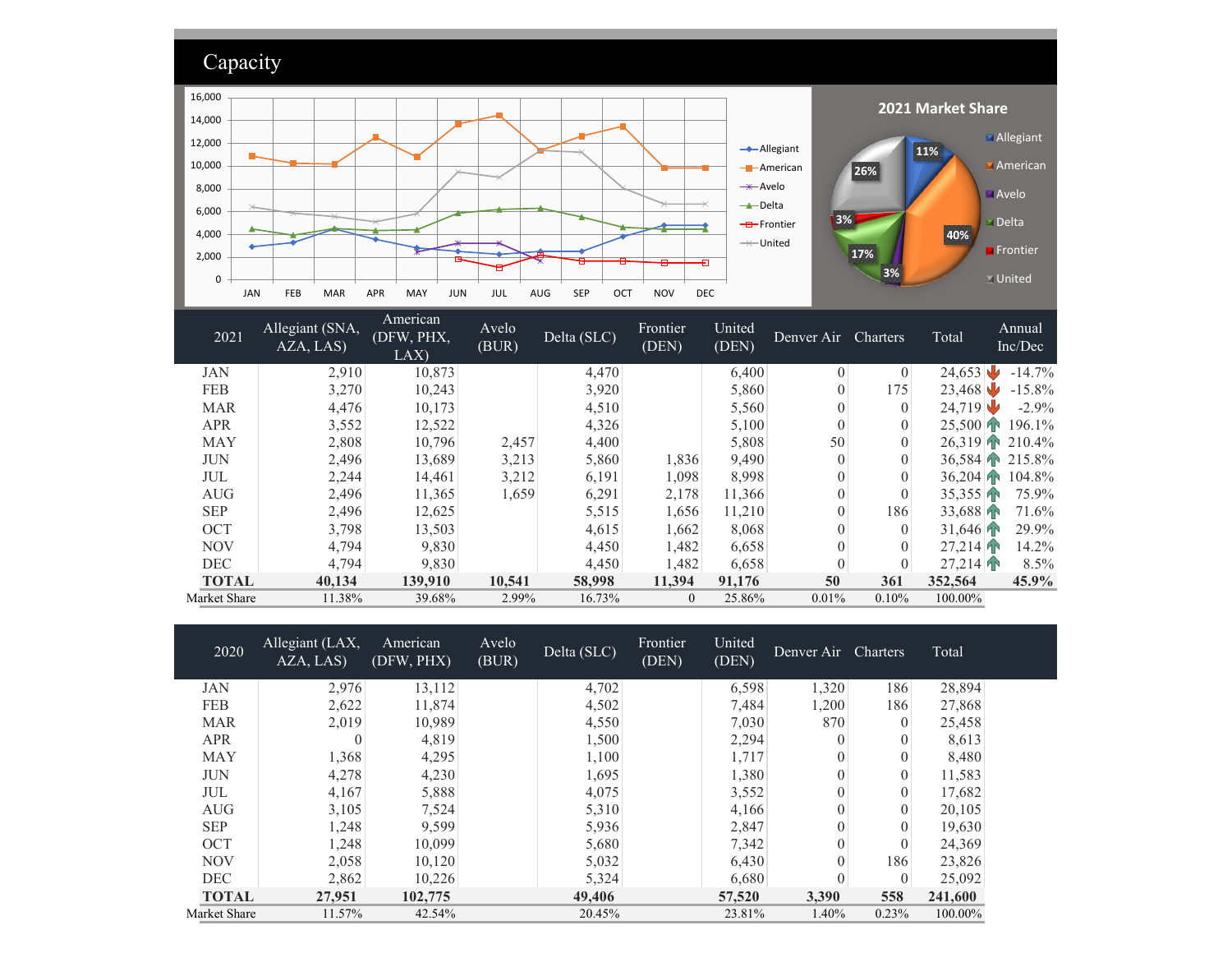

| <b>MAR</b>   | 4,476  | 10,173  |        | 4,510  |          | 5,560  |          |       | 24.719     | $-2.9%$       |
|--------------|--------|---------|--------|--------|----------|--------|----------|-------|------------|---------------|
| <b>APR</b>   | 3,552  | 12,522  |        | 4,326  |          | 5,100  | $\left($ |       |            | 25,500 196.1% |
| <b>MAY</b>   | 2,808  | 10,796  | 2,457  | 4,400  |          | 5,808  | 50       |       | $26.319$ m | 210.4%        |
| <b>JUN</b>   | 2,496  | 13,689  | 3,213  | 5,860  | 1,836    | 9,490  | $\Omega$ |       | $36.584$ T | 215.8%        |
| JUL          | 2.244  | 14,461  | 3,212  | 6,191  | 1.098    | 8,998  |          |       | $36.204$ m | 104.8%        |
| <b>AUG</b>   | 2,496  | 11,365  | 1,659  | 6,291  | 2,178    | 11,366 | $\left($ |       | 35,355     | 75.9%         |
| <b>SEP</b>   | 2,496  | 12,625  |        | 5,515  | 1,656    | 11.210 | $\left($ | 186   | 33,688     | 71.6%         |
| <b>OCT</b>   | 3,798  | 13,503  |        | 4,615  | 1,662    | 8,068  |          |       | 31,646     | 29.9%         |
| <b>NOV</b>   | 4,794  | 9,830   |        | 4,450  | 1,482    | 6,658  |          |       | 27.214     | 14.2%         |
| <b>DEC</b>   | 4,794  | 9,830   |        | 4,450  | 1,482    | 6,658  | $\left($ |       | 27,214     | 8.5%          |
| <b>TOTAL</b> | 40,134 | 139,910 | 10,541 | 58,998 | 11,394   | 91,176 | 50       | 361   | 352,564    | 45.9%         |
| Market Share | 11.38% | 39.68%  | 2.99%  | 16.73% | $\Omega$ | 25.86% | 0.01%    | 0.10% | 100.00%    |               |

| 2020         | Allegiant (LAX,<br>AZA, LAS) | American<br>(DFW, PHX) | Avelo<br>(BUR) | Delta (SLC) | Frontier<br>(DEN) | United<br>(DEN) | Denver Air Charters |              | Total   |
|--------------|------------------------------|------------------------|----------------|-------------|-------------------|-----------------|---------------------|--------------|---------|
| <b>JAN</b>   | 2,976                        | 13,112                 |                | 4,702       |                   | 6,598           | 1,320               | 186          | 28,894  |
| <b>FEB</b>   | 2,622                        | 11,874                 |                | 4,502       |                   | 7,484           | 1,200               | 186          | 27,868  |
| <b>MAR</b>   | 2,019                        | 10,989                 |                | 4,550       |                   | 7,030           | 870                 | $\theta$     | 25,458  |
| <b>APR</b>   |                              | 4,819                  |                | 1,500       |                   | 2,294           | $\Omega$            |              | 8,613   |
| <b>MAY</b>   | 1,368                        | 4,295                  |                | 1,100       |                   | 1,717           | $\theta$            |              | 8,480   |
| <b>JUN</b>   | 4,278                        | 4,230                  |                | 1,695       |                   | 1,380           | $\theta$            |              | 11,583  |
| JUL          | 4,167                        | 5,888                  |                | 4,075       |                   | 3,552           | $\theta$            | $\theta$     | 17,682  |
| <b>AUG</b>   | 3,105                        | 7,524                  |                | 5,310       |                   | 4,166           | $\theta$            |              | 20,105  |
| <b>SEP</b>   | 1,248                        | 9,599                  |                | 5,936       |                   | 2,847           | $\theta$            |              | 19,630  |
| <b>OCT</b>   | 1,248                        | 10,099                 |                | 5,680       |                   | 7,342           | $\theta$            | $\theta$     | 24,369  |
| <b>NOV</b>   | 2,058                        | 10,120                 |                | 5,032       |                   | 6,430           | $\theta$            | 186          | 23,826  |
| <b>DEC</b>   | 2,862                        | 10,226                 |                | 5,324       |                   | 6,680           | $\theta$            | $\mathbf{0}$ | 25,092  |
| <b>TOTAL</b> | 27,951                       | 102,775                |                | 49,406      |                   | 57,520          | 3,390               | 558          | 241,600 |
| Market Share | 11.57%                       | 42.54%                 |                | 20.45%      |                   | 23.81%          | 1.40%               | 0.23%        | 100.00% |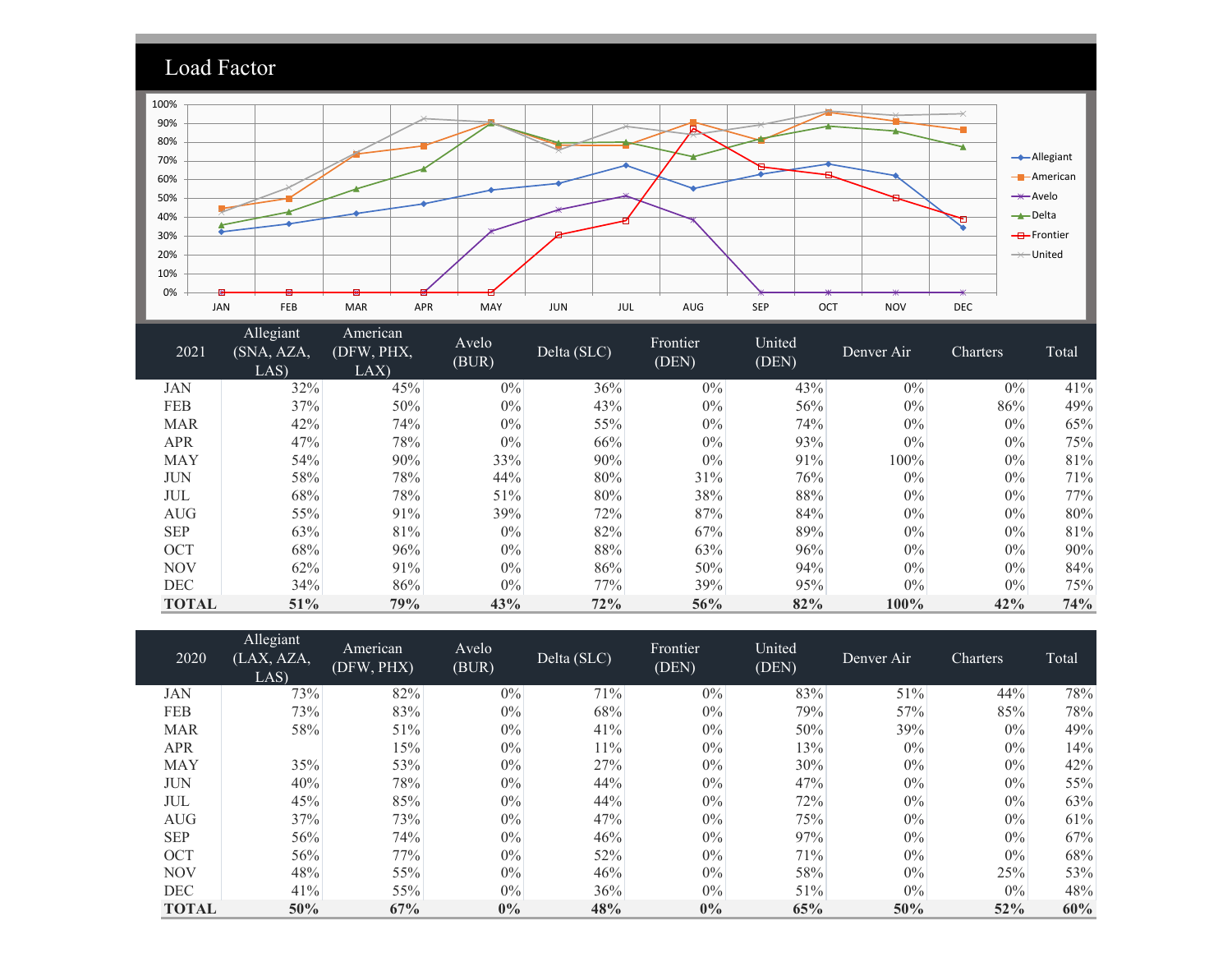

| 2021         | Allegiant<br>(SNA, AZA,<br>LAS) | American<br>(DFW, PHX,<br>LAX | Avelo<br>(BUR) | Delta (SLC) | Frontier<br>(DEN) | United<br>(DEN) | Denver Air | Charters | Total |
|--------------|---------------------------------|-------------------------------|----------------|-------------|-------------------|-----------------|------------|----------|-------|
| JAN          | 32%                             | 45%                           | $0\%$          | 36%         | $0\%$             | 43%             | $0\%$      | $0\%$    | 41%   |
| FEB          | 37%                             | 50%                           | $0\%$          | 43%         | $0\%$             | 56%             | $0\%$      | 86%      | 49%   |
| <b>MAR</b>   | 42%                             | 74%                           | $0\%$          | 55%         | $0\%$             | 74%             | $0\%$      | $0\%$    | 65%   |
| <b>APR</b>   | 47%                             | 78%                           | $0\%$          | 66%         | $0\%$             | 93%             | $0\%$      | $0\%$    | 75%   |
| <b>MAY</b>   | 54%                             | 90%                           | 33%            | 90%         | $0\%$             | 91%             | 100%       | $0\%$    | 81%   |
| <b>JUN</b>   | 58%                             | 78%                           | 44%            | 80%         | 31%               | 76%             | $0\%$      | $0\%$    | 71%   |
| JUL          | 68%                             | 78%                           | 51%            | 80%         | 38%               | 88%             | $0\%$      | $0\%$    | 77%   |
| <b>AUG</b>   | 55%                             | 91%                           | 39%            | 72%         | 87%               | 84%             | $0\%$      | $0\%$    | 80%   |
| <b>SEP</b>   | 63%                             | 81%                           | $0\%$          | 82%         | 67%               | 89%             | $0\%$      | $0\%$    | 81%   |
| <b>OCT</b>   | 68%                             | 96%                           | $0\%$          | 88%         | 63%               | 96%             | $0\%$      | $0\%$    | 90%   |
| <b>NOV</b>   | 62%                             | 91%                           | $0\%$          | 86%         | 50%               | 94%             | $0\%$      | 0%       | 84%   |
| <b>DEC</b>   | 34%                             | 86%                           | $0\%$          | 77%         | 39%               | 95%             | $0\%$      | $0\%$    | 75%   |
| <b>TOTAL</b> | 51%                             | 79%                           | 43%            | 72%         | 56%               | 82%             | 100%       | 42%      | 74%   |

| 2020         | Allegiant<br>(LAX, AZA,<br>LAS) | American<br>(DFW, PHX) | Avelo<br>(BUR) | Delta (SLC) | Frontier<br>(DEN) | United<br>(DEN) | Denver Air | Charters | Total |
|--------------|---------------------------------|------------------------|----------------|-------------|-------------------|-----------------|------------|----------|-------|
| JAN          | 73%                             | 82%                    | $0\%$          | 71%         | $0\%$             | 83%             | 51%        | 44%      | 78%   |
| <b>FEB</b>   | 73%                             | 83%                    | $0\%$          | 68%         | $0\%$             | 79%             | 57%        | 85%      | 78%   |
| <b>MAR</b>   | 58%                             | 51%                    | $0\%$          | 41%         | $0\%$             | 50%             | 39%        | $0\%$    | 49%   |
| <b>APR</b>   |                                 | 15%                    | $0\%$          | 11%         | $0\%$             | 13%             | $0\%$      | $0\%$    | 14%   |
| <b>MAY</b>   | 35%                             | 53%                    | $0\%$          | 27%         | $0\%$             | 30%             | $0\%$      | $0\%$    | 42%   |
| <b>JUN</b>   | 40%                             | 78%                    | $0\%$          | 44%         | $0\%$             | 47%             | $0\%$      | $0\%$    | 55%   |
| JUL          | 45%                             | 85%                    | $0\%$          | 44%         | $0\%$             | 72%             | $0\%$      | $0\%$    | 63%   |
| <b>AUG</b>   | 37%                             | 73%                    | $0\%$          | 47%         | $0\%$             | 75%             | $0\%$      | $0\%$    | 61%   |
| <b>SEP</b>   | 56%                             | 74%                    | $0\%$          | 46%         | $0\%$             | 97%             | $0\%$      | $0\%$    | 67%   |
| <b>OCT</b>   | 56%                             | 77%                    | $0\%$          | 52%         | $0\%$             | 71%             | $0\%$      | $0\%$    | 68%   |
| <b>NOV</b>   | 48%                             | 55%                    | $0\%$          | 46%         | $0\%$             | 58%             | $0\%$      | 25%      | 53%   |
| <b>DEC</b>   | 41%                             | 55%                    | $0\%$          | 36%         | $0\%$             | 51%             | $0\%$      | $0\%$    | 48%   |
| <b>TOTAL</b> | 50%                             | 67%                    | $0\%$          | 48%         | $0\%$             | 65%             | 50%        | 52%      | 60%   |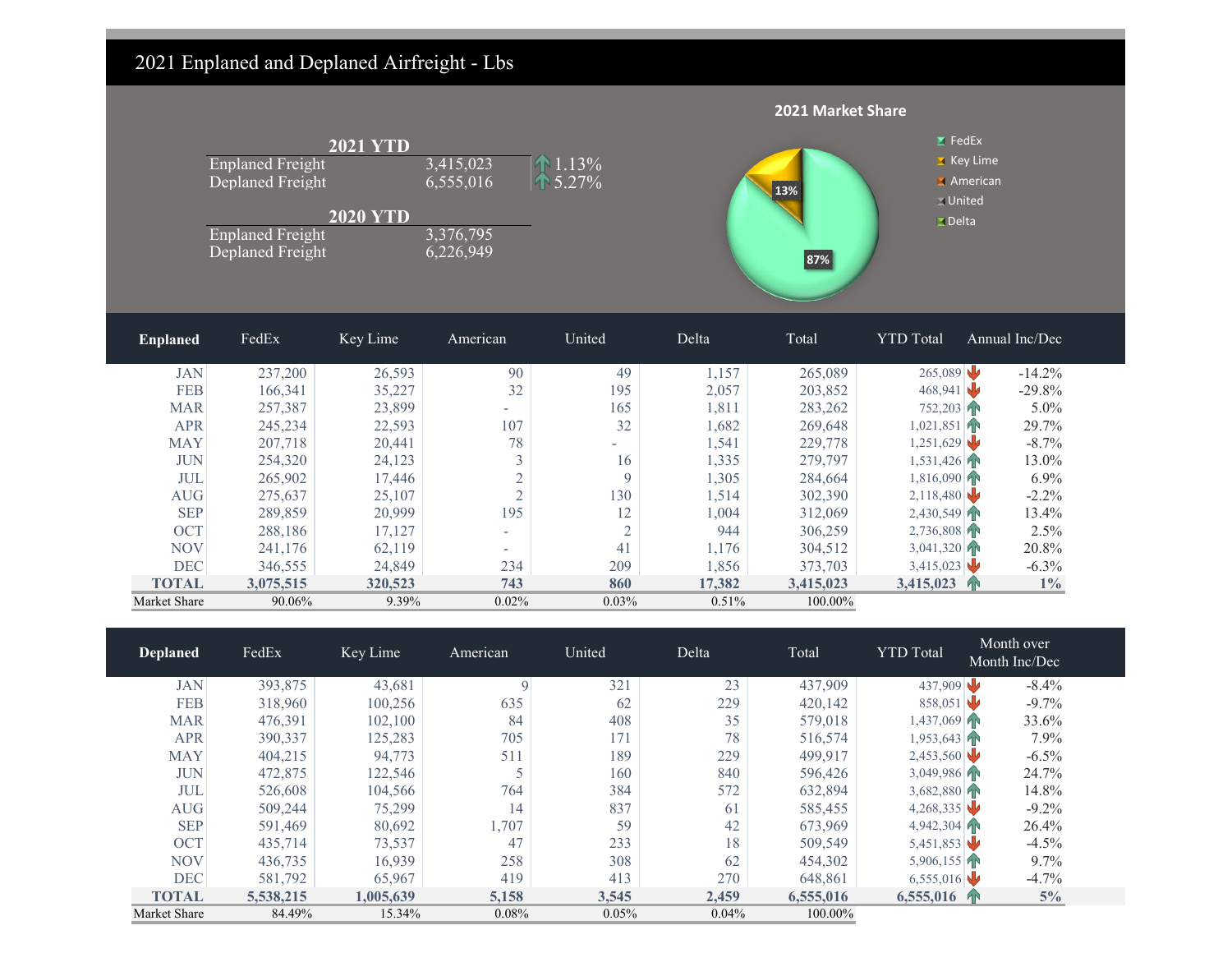### 2021 Enplaned and Deplaned Airfreight - Lbs

|                 |                                                                                            |                                    |                                                  |                       |        | 2021 Market Share |                                                                           |                |
|-----------------|--------------------------------------------------------------------------------------------|------------------------------------|--------------------------------------------------|-----------------------|--------|-------------------|---------------------------------------------------------------------------|----------------|
|                 | <b>Enplaned Freight</b><br>Deplaned Freight<br><b>Enplaned Freight</b><br>Deplaned Freight | <b>2021 YTD</b><br><b>2020 YTD</b> | 3,415,023<br>6,555,016<br>3,376,795<br>6,226,949 | 1.13%<br>5.27%<br>115 |        | 13%<br>87%        | $Z$ FedEx<br>X Key Lime<br>American<br>$\square$ United<br>$\Sigma$ Delta |                |
| <b>Enplaned</b> | FedEx                                                                                      | Key Lime                           | American                                         | United                | Delta  | Total             | <b>YTD</b> Total                                                          | Annual Inc/Dec |
| <b>JAN</b>      | 237,200                                                                                    | 26,593                             | 90                                               | 49                    | 1,157  | 265,089           | 265,089                                                                   | $-14.2%$       |
| <b>FEB</b>      | 166,341                                                                                    | 35,227                             | 32                                               | 195                   | 2,057  | 203,852           | 468,941                                                                   | $-29.8%$       |
| <b>MAR</b>      | 257,387                                                                                    | 23,899                             |                                                  | 165                   | 1,811  | 283,262           | 752,203 P                                                                 | 5.0%           |
| <b>APR</b>      | 245,234                                                                                    | 22,593                             | 107                                              | 32                    | 1,682  | 269,648           | 1,021,851                                                                 | 29.7%          |
| <b>MAY</b>      | 207,718                                                                                    | 20,441                             | 78                                               |                       | 1,541  | 229,778           | 1,251,629                                                                 | $-8.7\%$       |
| <b>JUN</b>      | 254,320                                                                                    | 24,123                             | 3                                                | 16                    | 1,335  | 279,797           | 1,531,426                                                                 | 13.0%          |
| <b>JUL</b>      | 265,902                                                                                    | 17,446                             | $\sqrt{2}$                                       | 9                     | 1,305  | 284,664           | 1,816,090                                                                 | 6.9%           |
| AUG             | 275,637                                                                                    | 25,107                             | $\overline{2}$                                   | 130                   | 1,514  | 302,390           | 2,118,480                                                                 | $-2.2%$        |
| <b>SEP</b>      | 289,859                                                                                    | 20,999                             | 195                                              | 12                    | 1,004  | 312,069           | 2,430,549                                                                 | 13.4%          |
| OCT             | 288,186                                                                                    | 17,127                             | $\sim$                                           | $\overline{c}$        | 944    | 306,259           | 2,736,808                                                                 | 2.5%           |
| <b>NOV</b>      | 241,176                                                                                    | 62,119                             | $\sim$                                           | 41                    | 1,176  | 304,512           | 3,041,320                                                                 | 20.8%          |
| <b>DEC</b>      | 346,555                                                                                    | 24,849                             | 234                                              | 209                   | 1,856  | 373,703           | 3,415,023                                                                 | $-6.3\%$       |
| <b>TOTAL</b>    | 3,075,515                                                                                  | 320,523                            | 743                                              | 860                   | 17,382 | 3,415,023         | 3,415,023 个                                                               | $1\%$          |
| Market Share    | 90.06%                                                                                     | 9.39%                              | 0.02%                                            | 0.03%                 | 0.51%  | 100.00%           |                                                                           |                |

| <b>Deplaned</b> | FedEx     | Key Lime  | American    | United | Delta | Total     | <b>YTD</b> Total | Month over<br>Month Inc/Dec |
|-----------------|-----------|-----------|-------------|--------|-------|-----------|------------------|-----------------------------|
| <b>JAN</b>      | 393,875   | 43,681    | $\mathbf Q$ | 321    | 23    | 437,909   | 437,909          | $-8.4%$                     |
| <b>FEB</b>      | 318,960   | 100,256   | 635         | 62     | 229   | 420,142   | 858,051          | $-9.7\%$                    |
| <b>MAR</b>      | 476,391   | 102,100   | 84          | 408    | 35    | 579,018   | 1,437,069        | 33.6%                       |
| <b>APR</b>      | 390,337   | 125,283   | 705         | 171    | 78    | 516,574   | 1,953,643        | 7.9%                        |
| <b>MAY</b>      | 404,215   | 94,773    | 511         | 189    | 229   | 499,917   | 2,453,560        | $-6.5\%$                    |
| <b>JUN</b>      | 472,875   | 122,546   |             | 160    | 840   | 596,426   | 3,049,986        | 24.7%                       |
| <b>JUL</b>      | 526,608   | 104,566   | 764         | 384    | 572   | 632,894   | $3,682,880$ P    | 14.8%                       |
| AUG             | 509,244   | 75,299    | 14          | 837    | 61    | 585,455   | 4,268,335        | $-9.2\%$                    |
| <b>SEP</b>      | 591,469   | 80,692    | 1,707       | 59     | 42    | 673,969   | 4,942,304        | 26.4%                       |
| <b>OCT</b>      | 435,714   | 73,537    | 47          | 233    | 18    | 509,549   | 5,451,853        | $-4.5%$                     |
| <b>NOV</b>      | 436,735   | 16,939    | 258         | 308    | 62    | 454,302   | 5,906,155        | 9.7%                        |
| <b>DEC</b>      | 581,792   | 65,967    | 419         | 413    | 270   | 648,861   | 6,555,016        | $-4.7%$                     |
| <b>TOTAL</b>    | 5,538,215 | 1,005,639 | 5,158       | 3,545  | 2,459 | 6,555,016 | $6,555,016$ T    | $5\%$                       |
| Market Share    | 84.49%    | 15.34%    | 0.08%       | 0.05%  | 0.04% | 100.00%   |                  |                             |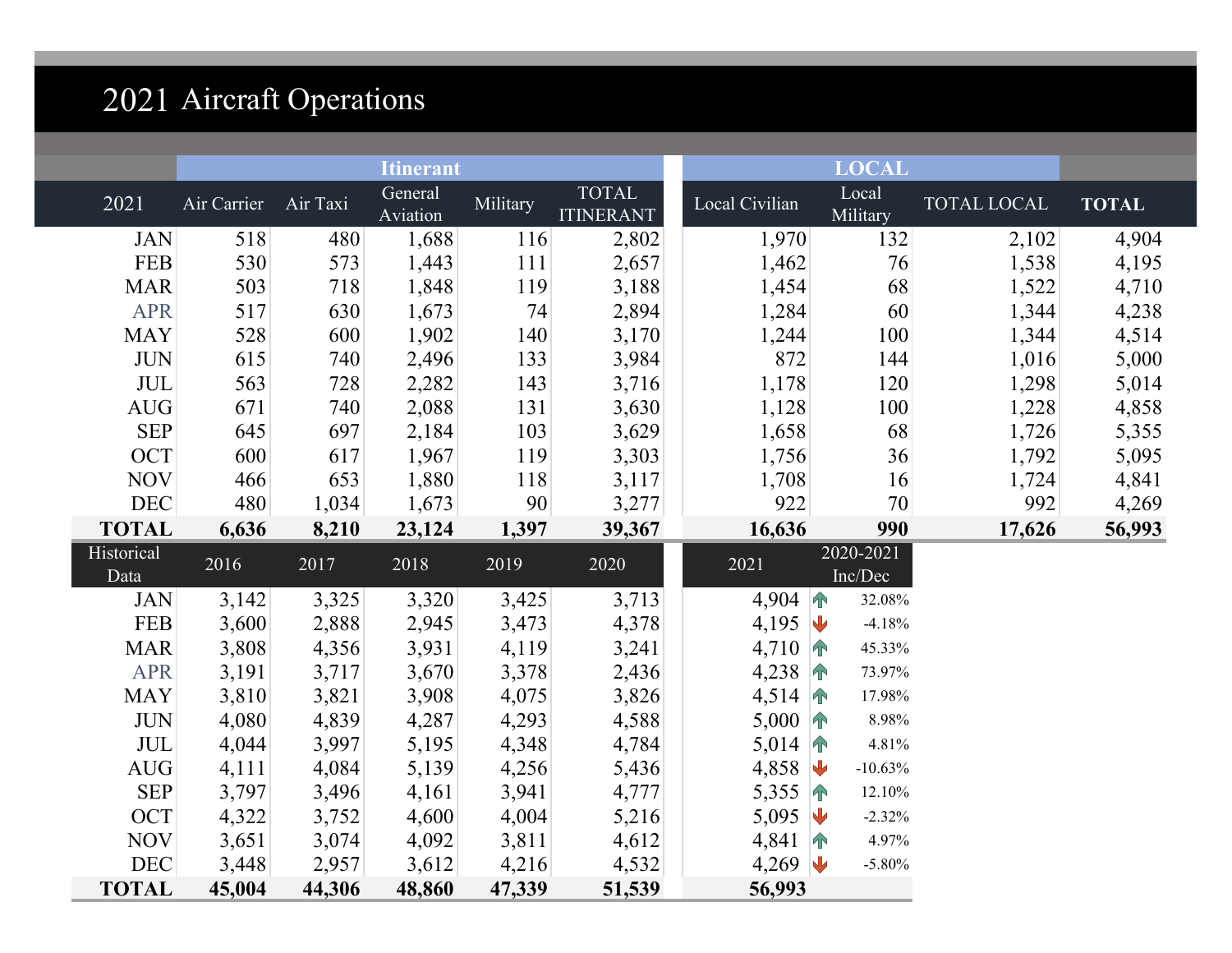# 2021 Aircraft Operations

|                           |             |          | <b>Itinerant</b>    |          |                                  |                  | <b>LOCAL</b>                 |             |              |
|---------------------------|-------------|----------|---------------------|----------|----------------------------------|------------------|------------------------------|-------------|--------------|
| 2021                      | Air Carrier | Air Taxi | General<br>Aviation | Military | <b>TOTAL</b><br><b>ITINERANT</b> | Local Civilian   | Local<br>Military            | TOTAL LOCAL | <b>TOTAL</b> |
| <b>JAN</b>                | 518         | 480      | 1,688               | 116      | 2,802                            | 1,970            | 132                          | 2,102       | 4,904        |
| <b>FEB</b>                | 530         | 573      | 1,443               | 111      | 2,657                            | 1,462            | 76                           | 1,538       | 4,195        |
| <b>MAR</b>                | 503         | 718      | 1,848               | 119      | 3,188                            | 1,454            | 68                           | 1,522       | 4,710        |
| <b>APR</b>                | 517         | 630      | 1,673               | 74       | 2,894                            | 1,284            | 60                           | 1,344       | 4,238        |
| <b>MAY</b>                | 528         | 600      | 1,902               | 140      | 3,170                            | 1,244            | 100                          | 1,344       | 4,514        |
| <b>JUN</b>                | 615         | 740      | 2,496               | 133      | 3,984                            | 872              | 144                          | 1,016       | 5,000        |
| $\ensuremath{\text{JUL}}$ | 563         | 728      | 2,282               | 143      | 3,716                            | 1,178            | 120                          | 1,298       | 5,014        |
| AUG                       | 671         | 740      | 2,088               | 131      | 3,630                            | 1,128            | 100                          | 1,228       | 4,858        |
| <b>SEP</b>                | 645         | 697      | 2,184               | 103      | 3,629                            | 1,658            | 68                           | 1,726       | 5,355        |
| <b>OCT</b>                | 600         | 617      | 1,967               | 119      | 3,303                            | 1,756            | 36                           | 1,792       | 5,095        |
| <b>NOV</b>                | 466         | 653      | 1,880               | 118      | 3,117                            | 1,708            | 16                           | 1,724       | 4,841        |
| DEC                       | 480         | 1,034    | 1,673               | 90       | 3,277                            | 922              | 70                           | 992         | 4,269        |
| <b>TOTAL</b>              | 6,636       | 8,210    | 23,124              | 1,397    | 39,367                           | 16,636           | 990                          | 17,626      | 56,993       |
| Historical<br>Data        | 2016        | 2017     | 2018                | 2019     | 2020                             | 2021             | 2020-2021<br>Inc/Dec         |             |              |
| <b>JAN</b>                | 3,142       | 3,325    | 3,320               | 3,425    | 3,713                            | 4,904 $\uparrow$ | 32.08%                       |             |              |
| <b>FEB</b>                | 3,600       | 2,888    | 2,945               | 3,473    | 4,378                            | 4,195 $\sqrt{ }$ | $-4.18%$                     |             |              |
| <b>MAR</b>                | 3,808       | 4,356    | 3,931               | 4,119    | 3,241                            | 4,710 $\uparrow$ | 45.33%                       |             |              |
| <b>APR</b>                | 3,191       | 3,717    | 3,670               | 3,378    | 2,436                            | 4,238 $\uparrow$ | 73.97%                       |             |              |
| <b>MAY</b>                | 3,810       | 3,821    | 3,908               | 4,075    | 3,826                            | 4,514 $\uparrow$ | 17.98%                       |             |              |
| <b>JUN</b>                | 4,080       | 4,839    | 4,287               | 4,293    | 4,588                            | $5,000$ 个        | 8.98%                        |             |              |
| <b>JUL</b>                | 4,044       | 3,997    | 5,195               | 4,348    | 4,784                            | 5,014 $\uparrow$ | 4.81%                        |             |              |
| <b>AUG</b>                | 4,111       | 4,084    | 5,139               | 4,256    | 5,436                            | 4,858            | $\blacklozenge$<br>$-10.63%$ |             |              |
| <b>SEP</b>                | 3,797       | 3,496    | 4,161               | 3,941    | 4,777                            | 5,355            | 12.10%<br>$\sqrt{ }$         |             |              |
| <b>OCT</b>                | 4,322       | 3,752    | 4,600               | 4,004    | 5,216                            | 5,095            | $\mathbf{U}$<br>$-2.32%$     |             |              |
| <b>NOV</b>                | 3,651       | 3,074    | 4,092               | 3,811    | 4,612                            | 4,841 $\uparrow$ | 4.97%                        |             |              |
| <b>DEC</b>                | 3,448       | 2,957    | 3,612               | 4,216    | 4,532                            | 4,269 $\sqrt{ }$ | $-5.80%$                     |             |              |
| <b>TOTAL</b>              | 45,004      | 44,306   | 48,860              | 47,339   | 51,539                           | 56,993           |                              |             |              |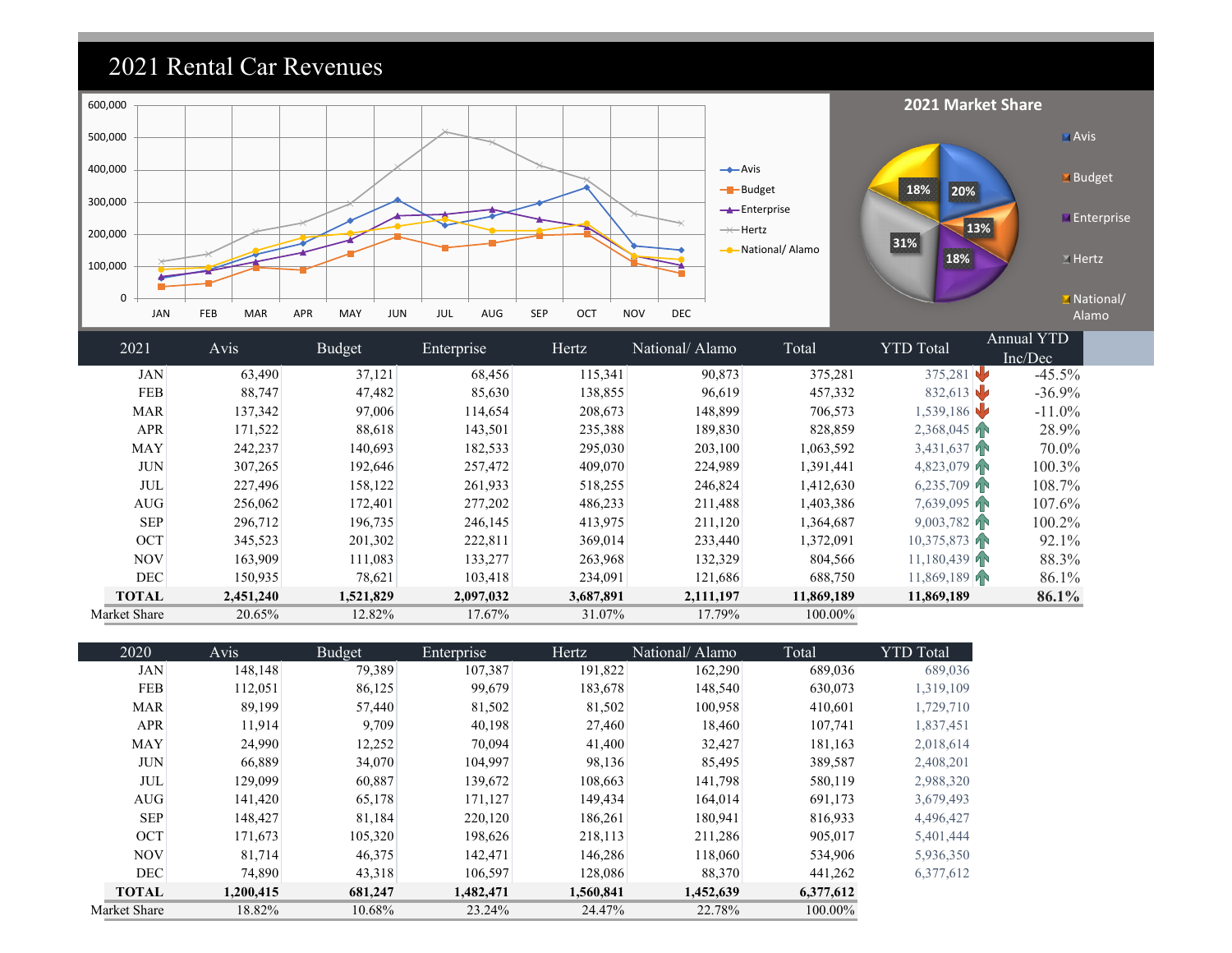### 2021 Rental Car Revenues



| 2021         | Avis      | Budget    | Enterprise | Hertz     | National/Alamo | Total      | <b>YTD</b> Total | Annual YTD |
|--------------|-----------|-----------|------------|-----------|----------------|------------|------------------|------------|
|              |           |           |            |           |                |            |                  | Inc/Dec    |
| <b>JAN</b>   | 63,490    | 37,121    | 68,456     | 115,341   | 90,873         | 375,281    | 375,281          | $-45.5\%$  |
| <b>FEB</b>   | 88,747    | 47,482    | 85,630     | 138,855   | 96,619         | 457,332    | 832,613          | $-36.9%$   |
| <b>MAR</b>   | 137,342   | 97,006    | 114,654    | 208,673   | 148,899        | 706,573    | 1,539,186        | $-11.0\%$  |
| <b>APR</b>   | 171,522   | 88,618    | 143,501    | 235,388   | 189,830        | 828,859    | 2,368,045        | 28.9%      |
| <b>MAY</b>   | 242,237   | 140,693   | 182,533    | 295,030   | 203,100        | 1,063,592  | 3,431,637        | 70.0%      |
| <b>JUN</b>   | 307,265   | 192,646   | 257,472    | 409,070   | 224,989        | 1,391,441  | 4,823,079        | $100.3\%$  |
| <b>JUL</b>   | 227,496   | 158,122   | 261,933    | 518,255   | 246,824        | 1,412,630  | 6,235,709        | 108.7%     |
| AUG          | 256,062   | 172,401   | 277,202    | 486,233   | 211,488        | 1,403,386  | 7,639,095        | 107.6%     |
| <b>SEP</b>   | 296,712   | 196,735   | 246,145    | 413,975   | 211,120        | 1,364,687  | $9,003,782$ TN   | 100.2%     |
| <b>OCT</b>   | 345,523   | 201,302   | 222,811    | 369,014   | 233,440        | 1,372,091  | 10,375,873       | 92.1%      |
| <b>NOV</b>   | 163,909   | 111,083   | 133,277    | 263,968   | 132,329        | 804,566    | 11,180,439       | 88.3%      |
| <b>DEC</b>   | 150,935   | 78,621    | 103,418    | 234,091   | 121,686        | 688,750    | 11,869,189       | 86.1%      |
| <b>TOTAL</b> | 2,451,240 | 1,521,829 | 2,097,032  | 3,687,891 | 2,111,197      | 11,869,189 | 11,869,189       | 86.1%      |
| Market Share | 20.65%    | 12.82%    | 17.67%     | 31.07%    | 17.79%         | 100.00%    |                  |            |

| 2020         | Avis      | Budget  | Enterprise | Hertz     | National/Alamo | Total     | <b>YTD</b> Total |
|--------------|-----------|---------|------------|-----------|----------------|-----------|------------------|
| <b>JAN</b>   | 148.148   | 79,389  | 107,387    | 191,822   | 162,290        | 689,036   | 689,036          |
| <b>FEB</b>   | 112,051   | 86,125  | 99,679     | 183,678   | 148,540        | 630,073   | 1,319,109        |
| <b>MAR</b>   | 89,199    | 57,440  | 81,502     | 81,502    | 100,958        | 410,601   | 1,729,710        |
| <b>APR</b>   | 11.914    | 9,709   | 40,198     | 27,460    | 18,460         | 107,741   | 1,837,451        |
| <b>MAY</b>   | 24,990    | 12,252  | 70,094     | 41,400    | 32,427         | 181,163   | 2,018,614        |
| <b>JUN</b>   | 66,889    | 34,070  | 104,997    | 98,136    | 85,495         | 389,587   | 2,408,201        |
| <b>JUL</b>   | 129,099   | 60,887  | 139,672    | 108,663   | 141,798        | 580,119   | 2,988,320        |
| AUG          | 141,420   | 65,178  | 171,127    | 149,434   | 164,014        | 691,173   | 3,679,493        |
| <b>SEP</b>   | 148,427   | 81,184  | 220,120    | 186,261   | 180,941        | 816,933   | 4,496,427        |
| <b>OCT</b>   | 171,673   | 105,320 | 198,626    | 218,113   | 211,286        | 905,017   | 5,401,444        |
| <b>NOV</b>   | 81,714    | 46,375  | 142,471    | 146,286   | 118,060        | 534,906   | 5,936,350        |
| <b>DEC</b>   | 74,890    | 43,318  | 106,597    | 128,086   | 88,370         | 441,262   | 6,377,612        |
| <b>TOTAL</b> | 1,200,415 | 681,247 | 1,482,471  | 1,560,841 | 1,452,639      | 6,377,612 |                  |
| Market Share | 18.82%    | 10.68%  | 23.24%     | 24.47%    | 22.78%         | 100.00%   |                  |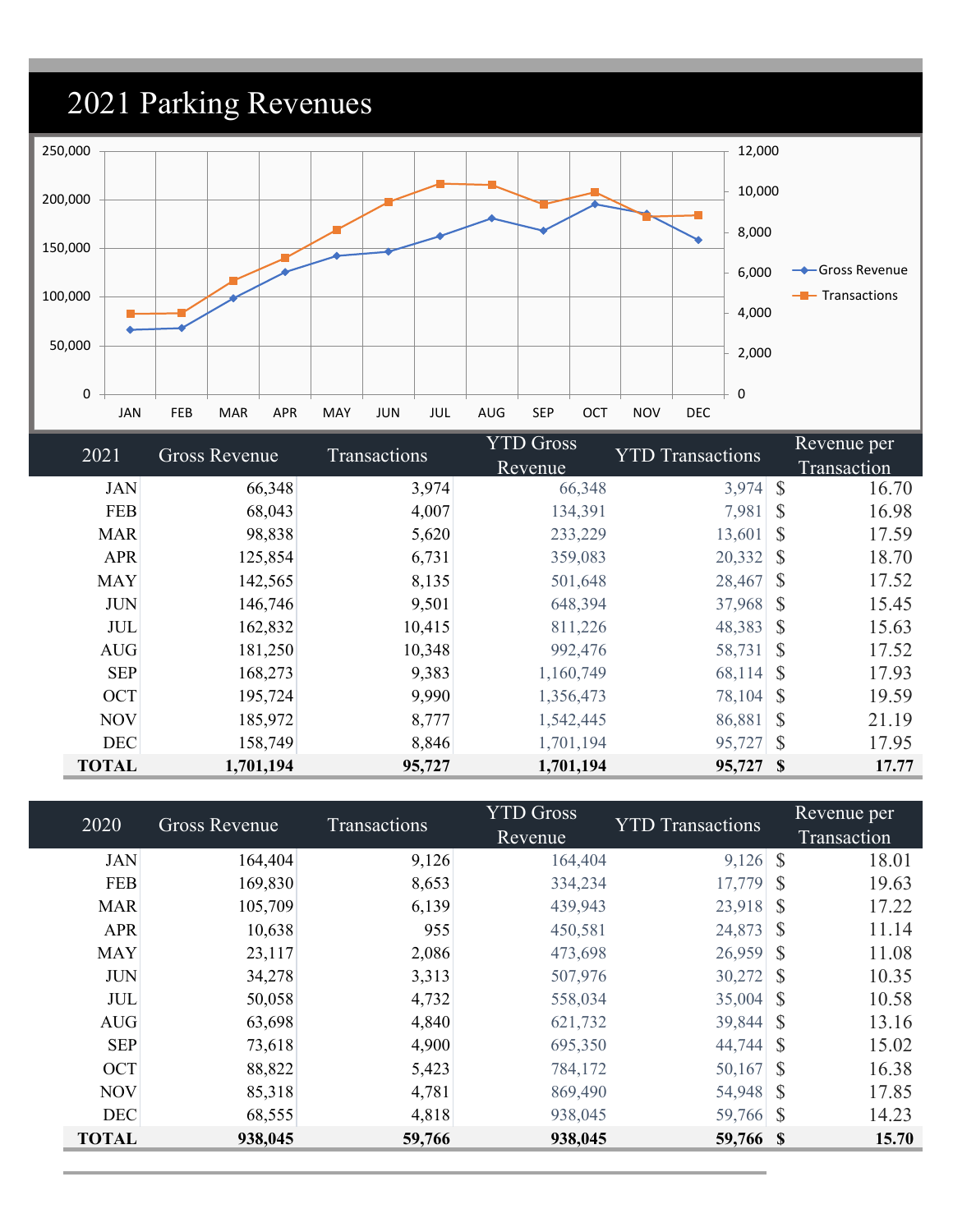## 2021 Parking Revenues



| 2021         | <b>Gross Revenue</b> | Transactions | <b>YTD Gross</b> | <b>YTD</b> Transactions | Revenue per            |
|--------------|----------------------|--------------|------------------|-------------------------|------------------------|
|              |                      |              | Revenue          |                         | Transaction            |
| <b>JAN</b>   | 66,348               | 3,974        | 66,348           | 3,974                   | <sup>S</sup><br>16.70  |
| <b>FEB</b>   | 68,043               | 4,007        | 134,391          | 7,981                   | <sup>S</sup><br>16.98  |
| <b>MAR</b>   | 98,838               | 5,620        | 233,229          | 13,601                  | <sup>S</sup><br>17.59  |
| <b>APR</b>   | 125,854              | 6,731        | 359,083          | 20,332                  | 18.70<br><sup>S</sup>  |
| <b>MAY</b>   | 142,565              | 8,135        | 501,648          | 28,467                  | -S<br>17.52            |
| <b>JUN</b>   | 146,746              | 9,501        | 648,394          | 37,968                  | <sup>S</sup><br>15.45  |
| <b>JUL</b>   | 162,832              | 10,415       | 811,226          | 48,383                  | <sup>S</sup><br>15.63  |
| <b>AUG</b>   | 181,250              | 10,348       | 992,476          | 58,731                  | <sup>S</sup><br>17.52  |
| <b>SEP</b>   | 168,273              | 9,383        | 1,160,749        | 68,114                  | <sup>S</sup><br>17.93  |
| <b>OCT</b>   | 195,724              | 9,990        | 1,356,473        | 78,104                  | <sup>S</sup><br>19.59  |
| <b>NOV</b>   | 185,972              | 8,777        | 1,542,445        | 86,881                  | <sup>S</sup><br>21.19  |
| <b>DEC</b>   | 158,749              | 8,846        | 1,701,194        | 95,727                  | $\mathcal{S}$<br>17.95 |
| <b>TOTAL</b> | 1,701,194            | 95,727       | 1,701,194        | 95,727 \$               | 17.77                  |

| 2020         | Gross Revenue | <b>Transactions</b> | <b>YTD Gross</b> | <b>YTD Transactions</b> | Revenue per            |  |
|--------------|---------------|---------------------|------------------|-------------------------|------------------------|--|
|              |               |                     | Revenue          |                         | Transaction            |  |
| <b>JAN</b>   | 164,404       | 9,126               | 164,404          | $9,126$ \$              | 18.01                  |  |
| <b>FEB</b>   | 169,830       | 8,653               | 334,234          | 17,779                  | -S<br>19.63            |  |
| <b>MAR</b>   | 105,709       | 6,139               | 439,943          | 23,918                  | <sup>S</sup><br>17.22  |  |
| <b>APR</b>   | 10,638        | 955                 | 450,581          | 24,873                  | <sup>\$</sup><br>11.14 |  |
| <b>MAY</b>   | 23,117        | 2,086               | 473,698          | $26,959$ \$             | 11.08                  |  |
| <b>JUN</b>   | 34,278        | 3,313               | 507,976          | 30,272                  | 10.35<br>-S            |  |
| <b>JUL</b>   | 50,058        | 4,732               | 558,034          | 35,004                  | 10.58<br>-S            |  |
| <b>AUG</b>   | 63,698        | 4,840               | 621,732          | 39,844                  | 13.16<br><sup>S</sup>  |  |
| <b>SEP</b>   | 73,618        | 4,900               | 695,350          | 44,744                  | <sup>S</sup><br>15.02  |  |
| OCT          | 88,822        | 5,423               | 784,172          | $50,167$ \$             | 16.38                  |  |
| <b>NOV</b>   | 85,318        | 4,781               | 869,490          | 54,948 \$               | 17.85                  |  |
| <b>DEC</b>   | 68,555        | 4,818               | 938,045          | 59,766 \$               | 14.23                  |  |
| <b>TOTAL</b> | 938,045       | 59,766              | 938,045          | 59,766 \$               | 15.70                  |  |